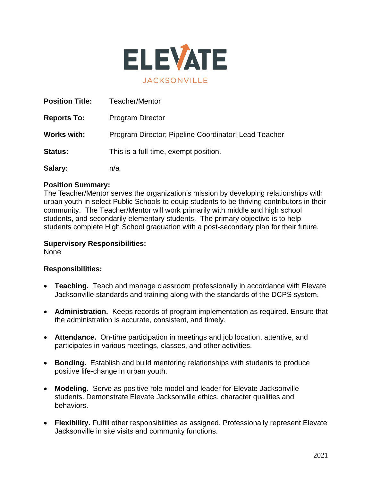

| <b>Position Title:</b> | Teacher/Mentor                                       |
|------------------------|------------------------------------------------------|
| <b>Reports To:</b>     | <b>Program Director</b>                              |
| <b>Works with:</b>     | Program Director; Pipeline Coordinator; Lead Teacher |
| <b>Status:</b>         | This is a full-time, exempt position.                |
| Salary:                | n/a                                                  |

## **Position Summary:**

The Teacher/Mentor serves the organization's mission by developing relationships with urban youth in select Public Schools to equip students to be thriving contributors in their community. The Teacher/Mentor will work primarily with middle and high school students, and secondarily elementary students. The primary objective is to help students complete High School graduation with a post-secondary plan for their future.

## **Supervisory Responsibilities:**

None

# **Responsibilities:**

- **Teaching.** Teach and manage classroom professionally in accordance with Elevate Jacksonville standards and training along with the standards of the DCPS system.
- **Administration.** Keeps records of program implementation as required. Ensure that the administration is accurate, consistent, and timely.
- **Attendance.** On-time participation in meetings and job location, attentive, and participates in various meetings, classes, and other activities.
- **Bonding.** Establish and build mentoring relationships with students to produce positive life-change in urban youth.
- **Modeling.** Serve as positive role model and leader for Elevate Jacksonville students. Demonstrate Elevate Jacksonville ethics, character qualities and behaviors.
- **Flexibility.** Fulfill other responsibilities as assigned. Professionally represent Elevate Jacksonville in site visits and community functions.